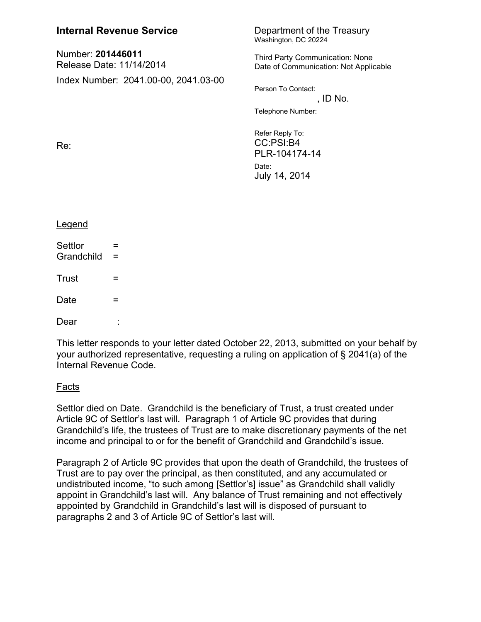| <b>Internal Revenue Service</b>               |                                      | Department of the Treasury<br>Washington, DC 20224                                                                             |
|-----------------------------------------------|--------------------------------------|--------------------------------------------------------------------------------------------------------------------------------|
| Number: 201446011<br>Release Date: 11/14/2014 |                                      | Third Party Communication: None<br>Date of Communication: Not Applicable                                                       |
| Re:                                           | Index Number: 2041.00-00, 2041.03-00 | Person To Contact:<br>, ID No.<br>Telephone Number:<br>Refer Reply To:<br>CC:PSI:B4<br>PLR-104174-14<br>Date:<br>July 14, 2014 |
| <b>Legend</b>                                 |                                      |                                                                                                                                |
| Settlor<br>Grandchild                         | $\equiv$<br>$=$                      |                                                                                                                                |
| Trust                                         | =                                    |                                                                                                                                |
| Date                                          | =                                    |                                                                                                                                |

Dear :

This letter responds to your letter dated October 22, 2013, submitted on your behalf by your authorized representative, requesting a ruling on application of § 2041(a) of the Internal Revenue Code.

## Facts

Settlor died on Date. Grandchild is the beneficiary of Trust, a trust created under Article 9C of Settlor's last will. Paragraph 1 of Article 9C provides that during Grandchild's life, the trustees of Trust are to make discretionary payments of the net income and principal to or for the benefit of Grandchild and Grandchild's issue.

Paragraph 2 of Article 9C provides that upon the death of Grandchild, the trustees of Trust are to pay over the principal, as then constituted, and any accumulated or undistributed income, "to such among [Settlor's] issue" as Grandchild shall validly appoint in Grandchild's last will. Any balance of Trust remaining and not effectively appointed by Grandchild in Grandchild's last will is disposed of pursuant to paragraphs 2 and 3 of Article 9C of Settlor's last will.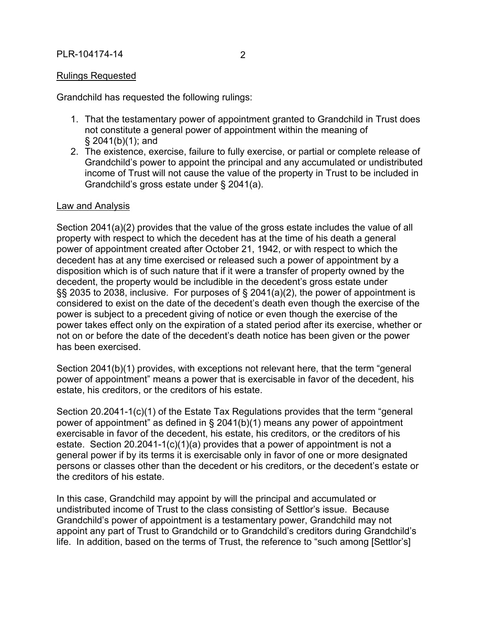Grandchild has requested the following rulings:

- 1. That the testamentary power of appointment granted to Grandchild in Trust does not constitute a general power of appointment within the meaning of § 2041(b)(1); and
- 2. The existence, exercise, failure to fully exercise, or partial or complete release of Grandchild's power to appoint the principal and any accumulated or undistributed income of Trust will not cause the value of the property in Trust to be included in Grandchild's gross estate under § 2041(a).

## Law and Analysis

Section 2041(a)(2) provides that the value of the gross estate includes the value of all property with respect to which the decedent has at the time of his death a general power of appointment created after October 21, 1942, or with respect to which the decedent has at any time exercised or released such a power of appointment by a disposition which is of such nature that if it were a transfer of property owned by the decedent, the property would be includible in the decedent's gross estate under §§ 2035 to 2038, inclusive. For purposes of § 2041(a)(2), the power of appointment is considered to exist on the date of the decedent's death even though the exercise of the power is subject to a precedent giving of notice or even though the exercise of the power takes effect only on the expiration of a stated period after its exercise, whether or not on or before the date of the decedent's death notice has been given or the power has been exercised.

Section 2041(b)(1) provides, with exceptions not relevant here, that the term "general power of appointment" means a power that is exercisable in favor of the decedent, his estate, his creditors, or the creditors of his estate.

Section 20.2041-1(c)(1) of the Estate Tax Regulations provides that the term "general power of appointment" as defined in § 2041(b)(1) means any power of appointment exercisable in favor of the decedent, his estate, his creditors, or the creditors of his estate. Section 20.2041-1(c)(1)(a) provides that a power of appointment is not a general power if by its terms it is exercisable only in favor of one or more designated persons or classes other than the decedent or his creditors, or the decedent's estate or the creditors of his estate.

In this case, Grandchild may appoint by will the principal and accumulated or undistributed income of Trust to the class consisting of Settlor's issue. Because Grandchild's power of appointment is a testamentary power, Grandchild may not appoint any part of Trust to Grandchild or to Grandchild's creditors during Grandchild's life. In addition, based on the terms of Trust, the reference to "such among [Settlor's]